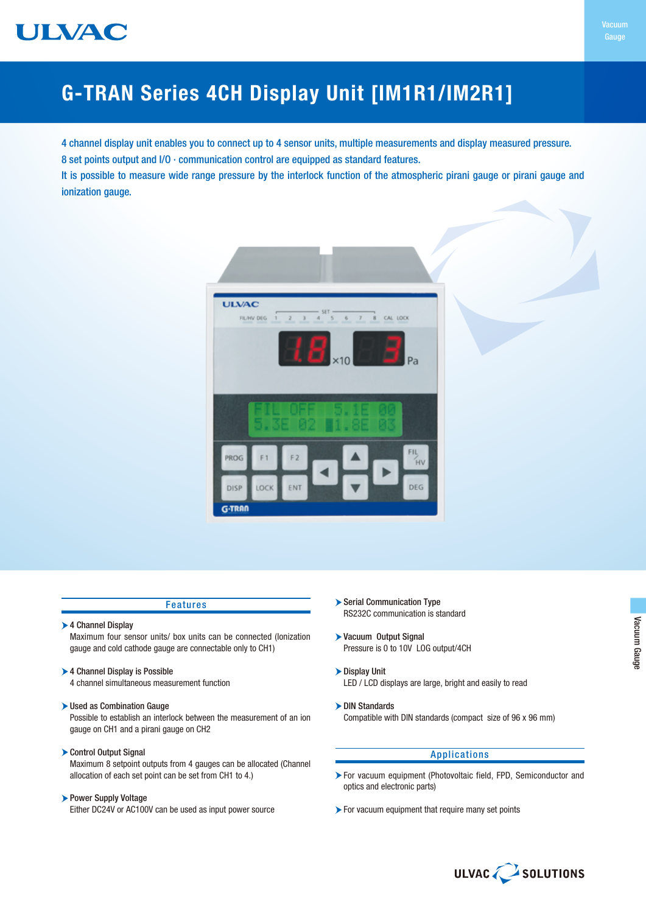

4 channel display unit enables you to connect up to 4 sensor units, multiple measurements and display measured pressure. 8 set points output and I/O ∙ communication control are equipped as standard features.

It is possible to measure wide range pressure by the interlock function of the atmospheric pirani gauge or pirani gauge and ionization gauge.



### Features

▶ 4 Channel Display

Maximum four sensor units/ box units can be connected (Ionization gauge and cold cathode gauge are connectable only to CH1)

- ▶ 4 Channel Display is Possible
	- 4 channel simultaneous measurement function
- Used as Combination Gauge

Possible to establish an interlock between the measurement of an ion gauge on CH1 and a pirani gauge on CH2

Control Output Signal

Maximum 8 setpoint outputs from 4 gauges can be allocated (Channel allocation of each set point can be set from CH1 to 4.)

## Power Supply Voltage

Either DC24V or AC100V can be used as input power source

- Serial Communication Type RS232C communication is standard
- Vacuum Output Signal Pressure is 0 to 10V LOG output/4CH
- Display Unit LED / LCD displays are large, bright and easily to read
- DIN Standards Compatible with DIN standards (compact size of 96 x 96 mm)

## Applications

- For vacuum equipment (Photovoltaic field, FPD, Semiconductor and optics and electronic parts)
- For vacuum equipment that require many set points